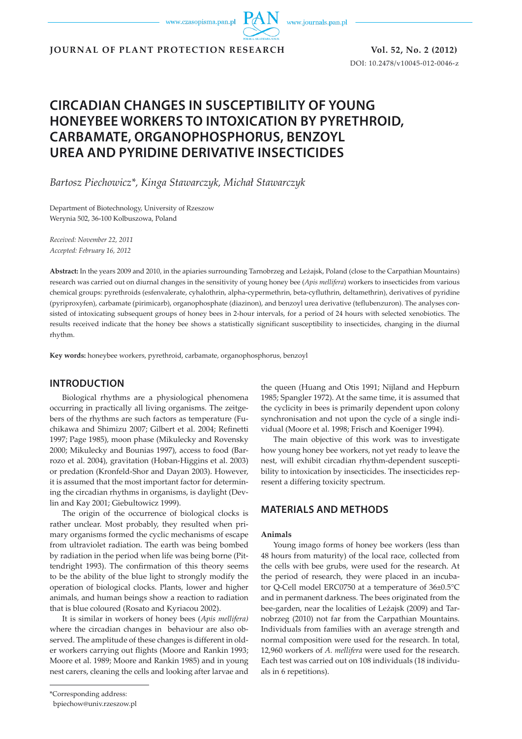www.czasopisma.pan.pl

www.journals.pan.pl

**JOURNAL OF PLANT PROTECTION RESEARCH Vol. 52, No. 2 (2012)**

DOI: 10.2478/v10045-012-0046-z

# **CIRCADIAN CHANGES IN SUSCEPTIBILITY OF YOUNG HONEYBEE WORKERS TO INTOXICATION BY PYRETHROID, CARBAMATE, ORGANOPHOSPHORUS, BENZOYL UREA AND PYRIDINE DERIVATIVE INSECTICIDES**

*Bartosz Piechowicz\*, Kinga Stawarczyk, Michał Stawarczyk*

Department of Biotechnology, University of Rzeszow Werynia 502, 36-100 Kolbuszowa, Poland

*Received: November 22, 2011 Accepted: February 16, 2012*

**Abstract:** In the years 2009 and 2010, in the apiaries surrounding Tarnobrzeg and Leżajsk, Poland (close to the Carpathian Mountains) research was carried out on diurnal changes in the sensitivity of young honey bee (*Apis mellifera*) workers to insecticides from various chemical groups: pyrethroids (esfenvalerate, cyhalothrin, alpha-cypermethrin, beta-cyfluthrin, deltamethrin), derivatives of pyridine (pyriproxyfen), carbamate (pirimicarb), organophosphate (diazinon), and benzoyl urea derivative (teflubenzuron). The analyses consisted of intoxicating subsequent groups of honey bees in 2-hour intervals, for a period of 24 hours with selected xenobiotics. The results received indicate that the honey bee shows a statistically significant susceptibility to insecticides, changing in the diurnal rhythm.

**Key words:** honeybee workers, pyrethroid, carbamate, organophosphorus, benzoyl

# **INTRODUCTION**

Biological rhythms are a physiological phenomena occurring in practically all living organisms. The zeitgebers of the rhythms are such factors as temperature (Fuchikawa and Shimizu 2007; Gilbert et al. 2004; Refinetti 1997; Page 1985), moon phase (Mikulecky and Rovensky 2000; Mikulecky and Bounias 1997), access to food (Barrozo et al. 2004), gravitation (Hoban-Higgins et al. 2003) or predation (Kronfeld-Shor and Dayan 2003). However, it is assumed that the most important factor for determining the circadian rhythms in organisms, is daylight (Devlin and Kay 2001; Giebultowicz 1999).

The origin of the occurrence of biological clocks is rather unclear. Most probably, they resulted when primary organisms formed the cyclic mechanisms of escape from ultraviolet radiation. The earth was being bombed by radiation in the period when life was being borne (Pittendright 1993). The confirmation of this theory seems to be the ability of the blue light to strongly modify the operation of biological clocks. Plants, lower and higher animals, and human beings show a reaction to radiation that is blue coloured (Rosato and Kyriacou 2002).

It is similar in workers of honey bees (*Apis mellifera)* where the circadian changes in behaviour are also observed. The amplitude of these changes is different in older workers carrying out flights (Moore and Rankin 1993; Moore et al. 1989; Moore and Rankin 1985) and in young nest carers, cleaning the cells and looking after larvae and

\*Corresponding address:

the queen (Huang and Otis 1991; Nijland and Hepburn 1985; Spangler 1972). At the same time, it is assumed that the cyclicity in bees is primarily dependent upon colony synchronisation and not upon the cycle of a single individual (Moore et al. 1998; Frisch and Koeniger 1994).

The main objective of this work was to investigate how young honey bee workers, not yet ready to leave the nest, will exhibit circadian rhythm-dependent susceptibility to intoxication by insecticides. The insecticides represent a differing toxicity spectrum.

## **MATERIALS AND METHODS**

#### **Animals**

Young imago forms of honey bee workers (less than 48 hours from maturity) of the local race, collected from the cells with bee grubs, were used for the research. At the period of research, they were placed in an incubator Q-Cell model ERC0750 at a temperature of 36±0.5°C and in permanent darkness. The bees originated from the bee-garden, near the localities of Leżajsk (2009) and Tarnobrzeg (2010) not far from the Carpathian Mountains. Individuals from families with an average strength and normal composition were used for the research. In total, 12,960 workers of *A. mellifera* were used for the research. Each test was carried out on 108 individuals (18 individuals in 6 repetitions).

bpiechow@univ.rzeszow.pl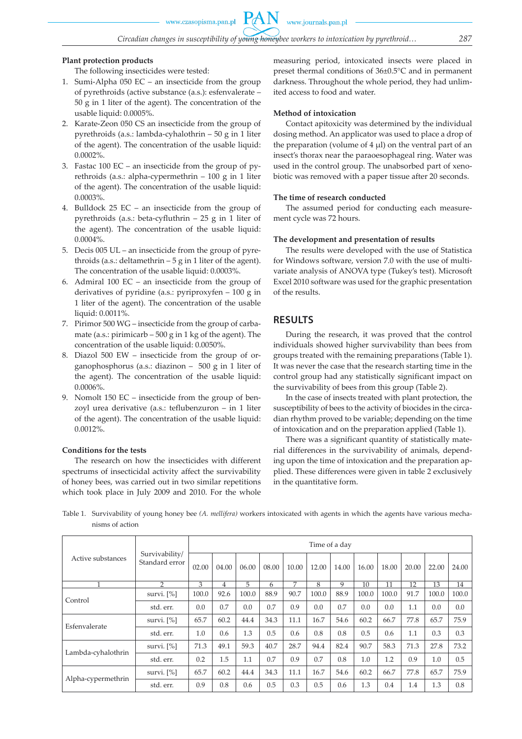$P_{\Lambda}$ 

#### **Plant protection products**

The following insecticides were tested:

- 1. Sumi-Alpha 050 EC an insecticide from the group of pyrethroids (active substance (a.s.): esfenvalerate – 50 g in 1 liter of the agent). The concentration of the usable liquid: 0.0005%.
- 2. Karate-Zeon 050 CS an insecticide from the group of pyrethroids (a.s.: lambda-cyhalothrin – 50 g in 1 liter of the agent). The concentration of the usable liquid: 0.0002%.
- 3. Fastac 100 EC an insecticide from the group of pyrethroids (a.s.: alpha-cypermethrin – 100 g in 1 liter of the agent). The concentration of the usable liquid: 0.0003%.
- 4. Bulldock 25 EC an insecticide from the group of pyrethroids (a.s.: beta-cyfluthrin – 25 g in 1 liter of the agent). The concentration of the usable liquid: 0.0004%.
- 5. Decis 005 UL an insecticide from the group of pyrethroids (a.s.: deltamethrin  $-5$  g in 1 liter of the agent). The concentration of the usable liquid: 0.0003%.
- 6. Admiral 100 EC an insecticide from the group of derivatives of pyridine (a.s.: pyriproxyfen – 100 g in 1 liter of the agent). The concentration of the usable liquid: 0.0011%.
- 7. Pirimor 500 WG insecticide from the group of carbamate (a.s.: pirimicarb  $-500$  g in 1 kg of the agent). The concentration of the usable liquid: 0.0050%.
- 8. Diazol 500 EW insecticide from the group of organophosphorus (a.s.: diazinon – 500 g in 1 liter of the agent). The concentration of the usable liquid: 0.0006%.
- 9. Nomolt 150 EC insecticide from the group of benzoyl urea derivative (a.s.: teflubenzuron – in 1 liter of the agent). The concentration of the usable liquid: 0.0012%.

#### **Conditions for the tests**

The research on how the insecticides with different spectrums of insecticidal activity affect the survivability of honey bees, was carried out in two similar repetitions which took place in July 2009 and 2010. For the whole measuring period, intoxicated insects were placed in preset thermal conditions of 36±0.5°C and in permanent darkness. Throughout the whole period, they had unlimited access to food and water.

#### **Method of intoxication**

Contact apitoxicity was determined by the individual dosing method. An applicator was used to place a drop of the preparation (volume of  $4 \mu$ I) on the ventral part of an insect's thorax near the paraoesophageal ring. Water was used in the control group. The unabsorbed part of xenobiotic was removed with a paper tissue after 20 seconds.

#### **The time of research conducted**

The assumed period for conducting each measurement cycle was 72 hours.

#### **The development and presentation of results**

The results were developed with the use of Statistica for Windows software, version 7.0 with the use of multivariate analysis of ANOVA type (Tukey's test). Microsoft Excel 2010 software was used for the graphic presentation of the results.

### **RESULTS**

During the research, it was proved that the control individuals showed higher survivability than bees from groups treated with the remaining preparations (Table 1). It was never the case that the research starting time in the control group had any statistically significant impact on the survivability of bees from this group (Table 2).

In the case of insects treated with plant protection, the susceptibility of bees to the activity of biocides in the circadian rhythm proved to be variable; depending on the time of intoxication and on the preparation applied (Table 1).

There was a significant quantity of statistically material differences in the survivability of animals, depending upon the time of intoxication and the preparation applied. These differences were given in table 2 exclusively in the quantitative form.

Table 1. Survivability of young honey bee *(A. mellifera)* workers intoxicated with agents in which the agents have various mechanisms of action

| Active substances  | Survivability/<br>Standard error | Time of a day |       |       |       |       |       |       |       |       |       |       |       |
|--------------------|----------------------------------|---------------|-------|-------|-------|-------|-------|-------|-------|-------|-------|-------|-------|
|                    |                                  | 02.00         | 04.00 | 06.00 | 08.00 | 10.00 | 12.00 | 14.00 | 16.00 | 18.00 | 20.00 | 22.00 | 24.00 |
| 1                  | $\overline{2}$                   | 3             | 4     | 5     | 6     | 7     | 8     | 9     | 10    | 11    | 12    | 13    | 14    |
| Control            | survi. $[\%]$                    | 100.0         | 92.6  | 100.0 | 88.9  | 90.7  | 100.0 | 88.9  | 100.0 | 100.0 | 91.7  | 100.0 | 100.0 |
|                    | std. err.                        | 0.0           | 0.7   | 0.0   | 0.7   | 0.9   | 0.0   | 0.7   | 0.0   | 0.0   | 1.1   | 0.0   | 0.0   |
| Esfenvalerate      | survi. $[\%]$                    | 65.7          | 60.2  | 44.4  | 34.3  | 11.1  | 16.7  | 54.6  | 60.2  | 66.7  | 77.8  | 65.7  | 75.9  |
|                    | std. err.                        | 1.0           | 0.6   | 1.3   | 0.5   | 0.6   | 0.8   | 0.8   | 0.5   | 0.6   | 1.1   | 0.3   | 0.3   |
| Lambda-cyhalothrin | survi. $[\%]$                    | 71.3          | 49.1  | 59.3  | 40.7  | 28.7  | 94.4  | 82.4  | 90.7  | 58.3  | 71.3  | 27.8  | 73.2  |
|                    | std. err.                        | 0.2           | 1.5   | 1.1   | 0.7   | 0.9   | 0.7   | 0.8   | 1.0   | 1.2   | 0.9   | 1.0   | 0.5   |
| Alpha-cypermethrin | survi. $[\%]$                    | 65.7          | 60.2  | 44.4  | 34.3  | 11.1  | 16.7  | 54.6  | 60.2  | 66.7  | 77.8  | 65.7  | 75.9  |
|                    | std. err.                        | 0.9           | 0.8   | 0.6   | 0.5   | 0.3   | 0.5   | 0.6   | 1.3   | 0.4   | 1.4   | 1.3   | 0.8   |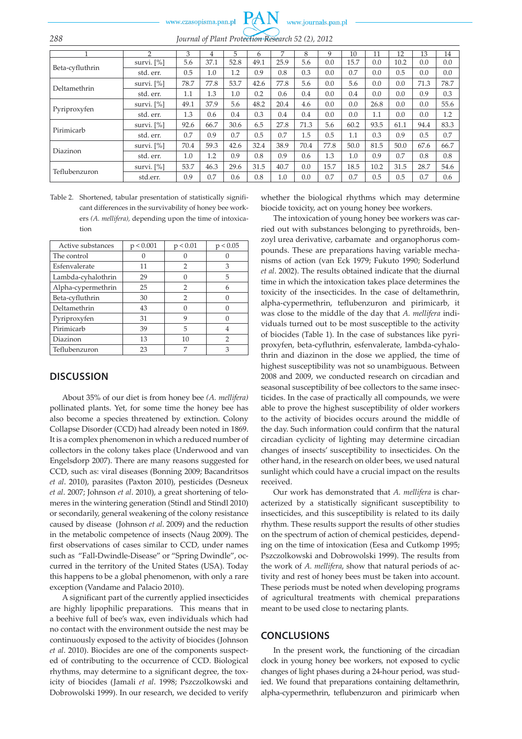www.czasopisma.pan.pl

www.journals.pan.pl

|                 | $\mathcal{P}$ | 3    | 4    | 5.   | 6    | 7    | 8    | 9    | 10   | 11   | 12   | 13   | 14   |
|-----------------|---------------|------|------|------|------|------|------|------|------|------|------|------|------|
| Beta-cyfluthrin | survi. $[%]$  | 5.6  | 37.1 | 52.8 | 49.1 | 25.9 | 5.6  | 0.0  | 15.7 | 0.0  | 10.2 | 0.0  | 0.0  |
|                 | std. err.     | 0.5  | 1.0  | 1.2  | 0.9  | 0.8  | 0.3  | 0.0  | 0.7  | 0.0  | 0.5  | 0.0  | 0.0  |
| Deltamethrin    | survi. $[\%]$ | 78.7 | 77.8 | 53.7 | 42.6 | 77.8 | 5.6  | 0.0  | 5.6  | 0.0  | 0.0  | 71.3 | 78.7 |
|                 | std. err.     | 1.1  | 1.3  | 1.0  | 0.2  | 0.6  | 0.4  | 0.0  | 0.4  | 0.0  | 0.0  | 0.9  | 0.3  |
| Pyriproxyfen    | survi. $[\%]$ | 49.1 | 37.9 | 5.6  | 48.2 | 20.4 | 4.6  | 0.0  | 0.0  | 26.8 | 0.0  | 0.0  | 55.6 |
|                 | std. err.     | 1.3  | 0.6  | 0.4  | 0.3  | 0.4  | 0.4  | 0.0  | 0.0  | 1.1  | 0.0  | 0.0  | 1.2  |
| Pirimicarb      | survi. $[\%]$ | 92.6 | 66.7 | 30.6 | 6.5  | 27.8 | 71.3 | 5.6  | 60.2 | 93.5 | 61.1 | 94.4 | 83.3 |
|                 | std. err.     | 0.7  | 0.9  | 0.7  | 0.5  | 0.7  | 1.5  | 0.5  | 1.1  | 0.3  | 0.9  | 0.5  | 0.7  |
| Diazinon        | survi. $[\%]$ | 70.4 | 59.3 | 42.6 | 32.4 | 38.9 | 70.4 | 77.8 | 50.0 | 81.5 | 50.0 | 67.6 | 66.7 |
|                 | std. err.     | 1.0  | 1.2  | 0.9  | 0.8  | 0.9  | 0.6  | 1.3  | 1.0  | 0.9  | 0.7  | 0.8  | 0.8  |
| Teflubenzuron   | survi. $[\%]$ | 53.7 | 46.3 | 29.6 | 31.5 | 40.7 | 0.0  | 15.7 | 18.5 | 10.2 | 31.5 | 28.7 | 54.6 |
|                 | std.err.      | 0.9  | 0.7  | 0.6  | 0.8  | 1.0  | 0.0  | 0.7  | 0.7  | 0.5  | 0.5  | 0.7  | 0.6  |

| Table 2. Shortened, tabular presentation of statistically signifi- |
|--------------------------------------------------------------------|
| cant differences in the survivability of honey bee work-           |
| ers (A. <i>mellifera</i> ), depending upon the time of intoxica-   |
| tion                                                               |

| Active substances  | p < 0.001 | p < 0.01      | p < 0.05 |
|--------------------|-----------|---------------|----------|
| The control        |           |               |          |
| Esfenvalerate      | 11        | $\mathcal{P}$ | З        |
| Lambda-cyhalothrin | 29        |               | 5        |
| Alpha-cypermethrin | 25        | $\mathcal{P}$ |          |
| Beta-cyfluthrin    | 30        | 2             |          |
| Deltamethrin       | 43        |               |          |
| Pyriproxyfen       | 31        | 9             |          |
| Pirimicarb         | 39        | 5             |          |
| Diazinon           | 13        | 10            | 2        |
| Teflubenzuron      | 23        |               |          |

# **DISCUSSION**

About 35% of our diet is from honey bee *(A. mellifera)*  pollinated plants. Yet, for some time the honey bee has also become a species threatened by extinction. Colony Collapse Disorder (CCD) had already been noted in 1869. It is a complex phenomenon in which a reduced number of collectors in the colony takes place (Underwood and van Engelsdorp 2007). There are many reasons suggested for CCD, such as: viral diseases (Bonning 2009; Bacandritsos *et al*. 2010), parasites (Paxton 2010), pesticides (Desneux *et al*. 2007; Johnson *et al*. 2010), a great shortening of telomeres in the wintering generation (Stindl and Stindl 2010) or secondarily, general weakening of the colony resistance caused by disease (Johnson *et al*. 2009) and the reduction in the metabolic competence of insects (Naug 2009). The first observations of cases similar to CCD, under names such as "Fall-Dwindle-Disease" or "Spring Dwindle", occurred in the territory of the United States (USA). Today this happens to be a global phenomenon, with only a rare exception (Vandame and Palacio 2010).

A significant part of the currently applied insecticides are highly lipophilic preparations. This means that in a beehive full of bee's wax, even individuals which had no contact with the environment outside the nest may be continuously exposed to the activity of biocides (Johnson *et al*. 2010). Biocides are one of the components suspected of contributing to the occurrence of CCD. Biological rhythms, may determine to a significant degree, the toxicity of biocides (Jamali *et al*. 1998; Pszczolkowski and Dobrowolski 1999). In our research, we decided to verify

whether the biological rhythms which may determine biocide toxicity, act on young honey bee workers.

The intoxication of young honey bee workers was carried out with substances belonging to pyrethroids, benzoyl urea derivative, carbamate and organophorus compounds. These are preparations having variable mechanisms of action (van Eck 1979; Fukuto 1990; Soderlund *et al*. 2002). The results obtained indicate that the diurnal time in which the intoxication takes place determines the toxicity of the insecticides. In the case of deltamethrin, alpha-cypermethrin, teflubenzuron and pirimicarb, it was close to the middle of the day that *A. mellifera* individuals turned out to be most susceptible to the activity of biocides (Table 1). In the case of substances like pyriproxyfen, beta-cyfluthrin, esfenvalerate, lambda-cyhalothrin and diazinon in the dose we applied, the time of highest susceptibility was not so unambiguous. Between 2008 and 2009, we conducted research on circadian and seasonal susceptibility of bee collectors to the same insecticides. In the case of practically all compounds, we were able to prove the highest susceptibility of older workers to the activity of biocides occurs around the middle of the day. Such information could confirm that the natural circadian cyclicity of lighting may determine circadian changes of insects' susceptibility to insecticides. On the other hand, in the research on older bees, we used natural sunlight which could have a crucial impact on the results received.

Our work has demonstrated that *A. mellifera* is characterized by a statistically significant susceptibility to insecticides, and this susceptibility is related to its daily rhythm*.* These results support the results of other studies on the spectrum of action of chemical pesticides, depending on the time of intoxication (Eesa and Cutkomp 1995; Pszczolkowski and Dobrowolski 1999). The results from the work of *A. mellifera*, show that natural periods of activity and rest of honey bees must be taken into account. These periods must be noted when developing programs of agricultural treatments with chemical preparations meant to be used close to nectaring plants.

## **CONCLUSIONS**

In the present work, the functioning of the circadian clock in young honey bee workers, not exposed to cyclic changes of light phases during a 24-hour period, was studied. We found that preparations containing deltamethrin, alpha-cypermethrin, teflubenzuron and pirimicarb when